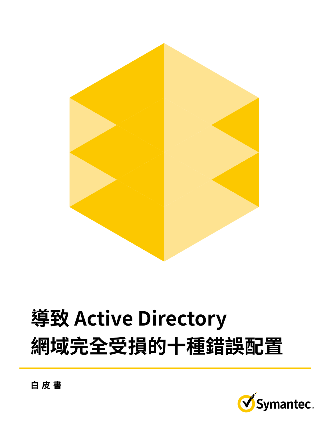

# **Ten Active Directory**  得致 Active Directory **to Total Domain Compromise 網域完全受損的十種錯誤配置**



**WHITE PAPER 白皮書**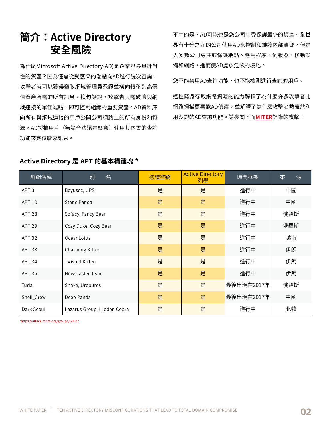#### **Introduction: Active Directory**  secure<br>지도 <del>소</del>호 **簡介:Active Directory 安全風險**

為什麼Microsoft Active Directory(AD)是企業界最具針對 性的資產?因為僅需從受感染的端點向AD進行幾次查詢, information the  $\frac{1}{2}$  in the  $\frac{1}{2}$  of  $\frac{1}{2}$  for  $\frac{1}{2}$  for  $\frac{1}{2}$  for  $\frac{1}{2}$  for  $\frac{1}{2}$  for  $\frac{1}{2}$  for  $\frac{1}{2}$  for  $\frac{1}{2}$  for  $\frac{1}{2}$  for  $\frac{1}{2}$  for  $\frac{1}{2}$  for  $\frac{1}{2}$  for  $\frac{1}{2$ <mark>攻擊者就可以獲得竊取網域</mark>官埋員憑證亚橫同轉移到局價<br> 值貧產所需的所有訊息。換句話說,<mark>攻</mark>擊者只需破壞與網 域連接的單個端點,即可控制組織的重要資產。AD資料庫 向所有與網域連接的用戶公開公司網路上的所有身<mark>份</mark>和資  $n = 1$  to any domain-connected users users users users users users users users users users users users users users users users users users users users users users users users users users users users users users users user 源。AD授罹用户(無論合法遠是惡意)使用其内直的查詢<br>-功能來定位敏感訊息。

 $\tau$  + 6 p  $\tau$  and the least protected as the least protected as  $\tau$ 界有十分乙九的公司使用AD來控制和維護内部貧源,但是 大多數公司專注於保護端點、應用程序、伺服器、移動設 備和網路,進而使AD處於危險的境地。 个辛的是,AD可能也是您公司中受保護最少的貧產。全世

 $\sqrt{2}$  $m = -\frac{1}{2}$ 您不能禁用AD查詢功能,也不能檢測進行查詢的用户。<br>

這種隱身存取網路貧源的能力解釋了為什麼許多<mark>攻</mark>擊者比 網路掃描更喜歡AD偵察。並解釋了為什麼攻擊者熱衷於利 用默認的AD查詢功能。請參閱下面<mark>[MITER](https://www.mitre.org/)</mark>記錄的攻擊:

## Active Directory 是 APT 的基本構建塊 \*

| 群組名稱              | 名<br>別                      | 憑證盜竊 | <b>Active Directory</b><br>列舉 | 時間框架       | 源<br>來 |
|-------------------|-----------------------------|------|-------------------------------|------------|--------|
| APT <sub>3</sub>  | Boyusec, UPS                | 是    | 是                             | 進行中        | 中國     |
| <b>APT 10</b>     | Stone Panda                 | 是    | 是                             | 進行中        | 中國     |
| APT <sub>28</sub> | Sofacy, Fancy Bear          | 是    | 是                             | 進行中        | 俄羅斯    |
| <b>APT 29</b>     | Cozy Duke, Cozy Bear        | 是    | 是                             | 進行中        | 俄羅斯    |
| APT <sub>32</sub> | OceanLotus                  | 是    | 是                             | 進行中        | 越南     |
| APT 33            | Charming Kitten             | 是    | 是                             | 進行中        | 伊朗     |
| APT 34            | <b>Twisted Kitten</b>       | 是    | 是                             | 進行中        | 伊朗     |
| <b>APT 35</b>     | Newscaster Team             | 是    | 是                             | 進行中        | 伊朗     |
| Turla             | Snake, Uroburos             | 是    | 是                             | 最後出現在2017年 | 俄羅斯    |
| Shell_Crew        | Deep Panda                  | 是    | 是                             | 最後出現在2017年 | 中國     |
| Dark Seoul        | Lazarus Group, Hidden Cobra | 是    | 是                             | 進行中        | 北韓     |

\*<https://attack.mitre.org/groups/G0022> \*https://attack.mitre.org/groups/G0022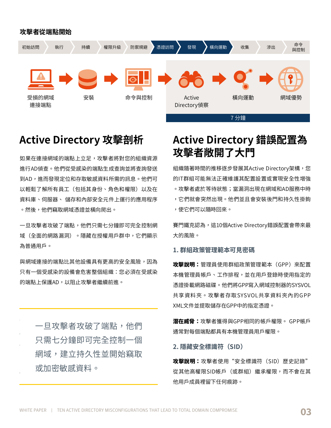#### **攻擊者從端點開始**



# **Active Director**

perform AD reconnaissance into your organizational resources. 進行AD偵查。他們從受感染的端點生成查詢並將查詢發送 到AD,進而發現定位和存取敏感資料所需的訊息。他們可  $\mathcal{A}$  is the sensitive data. They exist all  $\mathcal{A}$  and  $\mathcal{A}$  and  $\mathcal{A}$  are easily in the  $\mathcal{A}$  $\mathcal{L}_{\text{rel}}$ es (including their identities, roles, and privileges)  $\mathcal{L}_{\text{rel}}$ 貝科厘、阿版畚、 誦仔和内部女王兀什工建仃的應用柱 。然後,他們竊取網域憑證並橫向爬出。 Given a foothold on a domain-connected endpoint, attackers 如果在連接網域的端點上立足,攻擊者將對您的組織資源  **又擊者附開了大門** 貨料庫、伺服器、 儲存和内部安全元仵上連行的應用程序<br>-以輕鬆了解所有員工(包<mark>括</mark>其身份、角色和罹限)以及在

 $\overline{C}$  on  $\overline{C}$  and  $\overline{C}$  and  $\overline{C}$  and  $\overline{C}$  is the second just seven just see the second just seven just seven just seven just seven just seven just seven just seven just seven just seven just seven just s windows to the dominate the dominate the dominant of the dominant of the domain of the domain  $\sim$ 為普通用尸。<br>.  $\overline{C}$  and  $\overline{C}$  and  $\overline{C}$  and  $\overline{C}$  and  $\overline{C}$  and  $\overline{C}$  and  $\overline{C}$  and  $\overline{C}$  and  $\overline{C}$  and  $\overline{C}$  and  $\overline{C}$  and  $\overline{C}$  and  $\overline{C}$  and  $\overline{C}$  and  $\overline{C}$  and  $\overline{C}$  and  $\overline{C}$  and  $\mathcal{L}_{\mathcal{N}}$  ,  $\mathcal{L}_{\mathcal{N}}$  dominate to the dominate the domain  $\mathcal{L}_{\mathcal{N}}$ 一旦攻擊者攻破了端點,他們只需七分鐘即可完全控制網 域(全面的網路漏洞)。隱藏在授權用戶群中,它們顯示

只有一個受感染的設備會危害整個組織:您必須在受感染 jeopardizes the entire organization: You must protect AD at  $t$  other devices because  $t$  on  $t$  on  $t$  one computed devices  $\mathcal{L}(\mathbf{X})$ ppartize the entire organization: You must protect AD at the memorial 與網域連接的端點比其他設備具有更高的安全風險,因為 的端點上保護AD,以阻止攻擊者繼續前進。

 $\Box$   $\tau$   $\tau$   $\bar{t}$   $\bar{t}$   $\bar{t}$   $\bar{t}$   $\tau$   $\bar{t}$   $\tau$   $\tau$   $\bar{t}$   $\tau$   $\bar{t}$   $\bar{t}$   $\bar{t}$   $\bar{t}$   $\bar{t}$   $\bar{t}$   $\bar{t}$   $\bar{t}$   $\bar{t}$   $\bar{t}$   $\bar{t}$   $\bar{t}$   $\bar{t}$   $\bar{t}$   $\bar{t}$   $\bar{t}$   $\bar{t}$   $\$ endpoint, they need in the seven minutes  $\frac{1}{2}$  $\sim$  to the dominate a dominate a domain, established a domain, established a domain, established a domain,  $\sim$  $p$ persistence, and begin steadily or  $p$  in the properties of  $p$ 或加密敏感資料。  $\Box$  in the second point  $\Box$  in the second minutes  $\Box$  in the second minutes  $\Box$  in the second minutes  $\Box$  in the second minutes of  $\Box$  in the second minutes of  $\Box$  in the second minutes of  $\Box$  in the second minute  $t \sim t \sin \theta$  dominate a dominate a dominate a dominate a dominate a dominate a dominate a dominate a domain,  $t \sim t \sin \theta$  $p_{\text{max}}$  begin steadily steadily or  $p_{\text{max}}$ 一旦攻擊者攻破了端點,他<mark>們</mark> 只需七分鐘即可完全控制一個 網域,建立持久性並開始竊取

# **misconfigurations open misconfigurations open Active Directory 攻擊剖析 Active Directory 錯誤配置為** 攻擊者敞開了大門

 $\overline{A}$ implementation over the consequence of the properly in the property of the consequence of  $\eta$  and the consequence of  $\eta$ 的IT群組可能無法止確維護其配置設置或實現安全性增強<br>-。攻擊者處於等待狀態;當漏洞出現在網域和AD服務中時 ,它們就會突然出現。他們並且會安裝後門和持久性掛鉤 install backdoors and persistence hooks, enabling them to **COLOR AT ANGLES**  $\overline{\mathcal{A}}$  and  $\overline{\mathcal{A}}$  and  $\overline{\mathcal{A}}$  and  $\overline{\mathcal{A}}$  and  $\overline{\mathcal{A}}$  and  $\overline{\mathcal{A}}$  and  $\overline{\mathcal{A}}$  and  $\overline{\mathcal{A}}$  and  $\overline{\mathcal{A}}$  $\blacksquare$ install backdoors and persistence hooks, enablished them to the persistence hooks, enables, enables, enables,  $\sim$  cm  $\sim$  back at any time. 組纖隨者時間的推移逐步發展其Active Directory架構,您 ,使它們可以隨時回來。

賽門鐵克認為,這10個Active Directory錯誤配置會帶來最 大的風險。

### **1. Group Policy Preferences Visible Passwords 1. Group Policy Preferences Visible Passwords 1. 群組政策管理範本可見密碼**

**Attack Explanation:** Administrators use Group Policy **Attack Explanation:** Administrators use Group Policy 攻擊說明:管理員使用群組政策管理範本(GPP)來配置 本機管理員帳戶、工作排程,並在用戶登錄時使用指定的 schedule tasks, and mount network drives with specified 忽起街戦網哈嘅味<sup>。</sup>他们请UPP為八網嘅挂耐益的JIJVUL 共享資料夾。攻擊者存取SYSVOL共享資料夾內的GPP XML文件並提取儲存在GPP中的指定憑證。 credentials when a user logs on. They write GPPs to the SYSVOL 憑證掛載網路磁碟。他們將GPP寫入網域控制器的SYSVOL

**潜在威脅:**攻擊者獲得與GPP相同的帳戶權限。 GPP帳戶 通常對每個端點都具有本機管理員用戶罹限。 **Potential Threat:** Attackers gain the same account privileges

 $\mathcal{L}$  and the state of every endpoint. The every endpoint  $\mathcal{L}$ **2. 隱藏安全標識符(SID)**

**2. Hidden Security Identifier (SID) 2. Hidden Security Identifier (SID)** 從其他高權限SID帳戶(或群組)繼承權限,而不會在其 他用戶成員裡留下任何痕跡。  $\frac{1}{2}$  accounts (or groups) with accounts (or groups) without any trace  $\frac{1}{2}$ **攻擊説明:**攻擊者使用"安全標識符(SID)歴史記錄"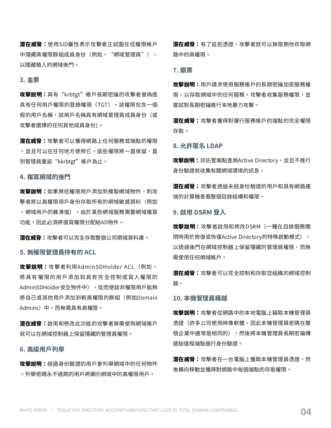**潛在威筲:**使用SID屬性表示攻擊者止試圖在低罹限帳戶 中隱藏高權限群組成員身份(例如,"網域管理員") , 以隱藏植入的網域後門。

#### **Attack Explanation:** Attackers with the long-term key for the **3. 金票**

攻擊說明:具有"krbtgt"帳戶長期密鑰的攻擊者會偽造  $T$  ticket contains a fiction  $\overline{C}$  of  $\overline{C}$  and  $\overline{C}$  and  $\overline{C}$  administration administration administration of  $\overline{C}$ 具有仕何用尸罹限的登録罹限(TGT)。該罹限包含一個<br>-**Potential Threat:** Attackers gain privileges for any service or  $\mathcal{L}_{\mathcal{D}}$  is the network and use  $\mathcal{L}_{\mathcal{D}}$ 假的用戶名稱,該用戶名稱具有網域管理員成員身份(或 攻擊者選擇的任何其他成員身份)。

**潛在威脅:**攻擊者可以獲得網路上任何服務或端點的權限 ,並且可以在仕何地万使用它。這些權限將一直保留,直 **Attack Explanation:** If a low-privileged user was added to the 到管理員重設"kkrbtgt"帳戶為止。

# 4. 複寫網域的後門

**攻擊說明:**如果將低權限用戶添加到複製網域物件,則攻 擊者將以高權限用戶身份存取所有的網域敏感資料(例如  $m = m \pm m$  objects. 功能,因此必須將復寫權限分配給AD物件。 ,網域用尸的雜湊值)。田於某些網域服務需要網域複寫

**潛在威脅:**攻擊者可以完全存取整個公司網域資料庫。

#### **Attack Explanation:** Attackers exploit AdminSDHolder ACLs— **5. 無權限管理員持有的 ACL**

攻擊說明:攻擊者利用AdminSDHolder ACL(例如,  $\mathbb{R}$ ect with  $\mathbb{R}$  become the permission  $\mathbb{R}$  and  $\mathbb{R}$  become the permissions—which  $\mathbb{R}$  becomes the permission of  $\mathbb{R}$  becomes the permission of  $\mathbb{R}$  becomes the permission of  $\mathbb{R}$  becomes gives that unprivileged user the ability to add themselves AdminSDHolder安全物件中),從而使該非權限用戶能夠 將自己或其他用戶添加到較高權限的群組(例如Domain Admins)中,而無需具有高權限。<br>———————————————————— 將具有權限的用戶添加到具有完全控制或寫入權限的

for the leaves of the Domain control  $\frac{1}{2}$  on the Domain control  $\frac{1}{2}$  on the Domain control on the Domain control on the Domain control on the Domain control on the Domain control on the Domain control on the Dom **潜在威筲:**战用和修改此功能的攻擊者無需使用網域帳尸<br> 就可以在網域控制器上保留隱藏的管理員權限。

#### **6. 高級用戶列舉**

**攻擊說明:**經過身份驗證的用戶會列舉網域中的任何物件 。列舉密碼永不過期的用戶將顯示網域中的高權限用戶。

**7. Silver Ticket** 路中的高權限。 **溍在威筲:**有了這些憑證,攻擊者就可以無限期地存取網

# **Attack Explanation:** Users request service tickets, encrypted **7. 銀票**

<mark>攻擊說明:</mark>用戶請求使用服務帳戶的長期密鑰加密服務權 限,以存取網域中的任何服務。攻擊者收集服務權限<mark>,並</mark> 嘗試對長期密鑰進行本地暴力攻擊。

**8. Anonymous LDAP Allowed** 存取。 潛在威脅:攻擊者獲得對運行服務帳戶的端點的完全權限

#### **Attack Explanation:** Unmanaged endpoints query Active Directory and, without authentication, gather information on **8. 允許匿名 LDAP**

攻擊說明:非託管端點查詢Active Directory,並且不進行 身份驗證就收集有關網域壞境的訊息。<br>-

**潜在威脅:**攻擊者透過禾經身份驗證的用戶和具有網路建 接的計算機查看整個目錄結構和權限。

#### **Attack Explanation:** Attackers enable and modify DSRM— **9. 啟用 DSRM 登入**

攻擊說明:攻擊者啟用和修改DSRM(一種在目錄服務關  $\overline{B}$   $\overline{B}$   $\overline{C}$   $\overline{D}$   $\overline{D}$   $\overline{D}$   $\overline{D}$   $\overline{D}$   $\overline{D}$   $\overline{D}$   $\overline{D}$   $\overline{D}$   $\overline{D}$   $\overline{D}$   $\overline{D}$   $\overline{D}$   $\overline{D}$   $\overline{D}$   $\overline{D}$   $\overline{D}$   $\overline{D}$   $\overline{D}$   $\overline{D}$   $\overline{D}$   $\overline{$ 閉時用於修復或恢復Active Directory的特殊啟動模式),<br>. 以透過後門在網域控制器上保留隱藏的管理員權限,而無<br>-需使用任何網域帳戶。

**潛在威脅:**攻擊者可以完全控制和存取您組織的網域控制 **10. Local Admin Traversal** 器。

#### **Attack Explanation:** Attackers steal local administrator **10. 本機管理員橫越**

credentials from a local computer in the network—many **攻擊說明:**攻擊者從網路中的本地電腦上竊取本機管埋員 憑證(許多公司使用映像軟體,因此本機管理員密碼在整 個企業中通常是相同的),然後將本機管理員長期密鑰<mark>傳</mark>  $t \in \mathbb{R}$ to authenticate itself. $t \in \mathbb{R}$ 遞給遠程端點進行身份驗證。

**溍在威宵:**攻擊者在一台電腦上獲取本機管理員憑證,然 後橫向移動並獲得對網路中每個端點的存取權限。